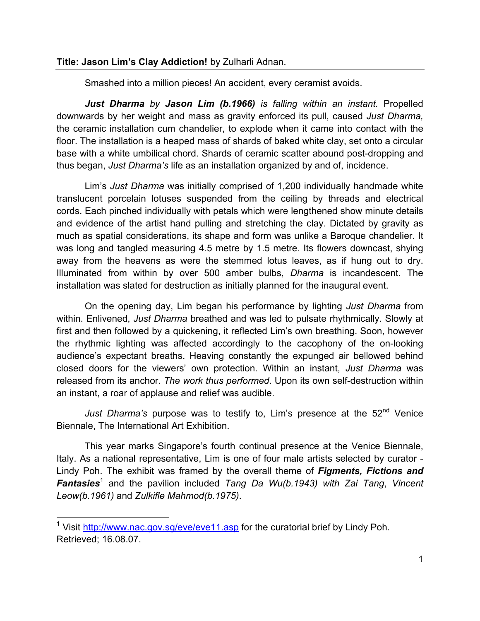## **Title: Jason Lim's Clay Addiction!** by Zulharli Adnan.

Smashed into a million pieces! An accident, every ceramist avoids.

*Just Dharma by Jason Lim (b.1966) is falling within an instant.* Propelled downwards by her weight and mass as gravity enforced its pull, caused *Just Dharma,* the ceramic installation cum chandelier, to explode when it came into contact with the floor. The installation is a heaped mass of shards of baked white clay, set onto a circular base with a white umbilical chord. Shards of ceramic scatter abound post-dropping and thus began, *Just Dharma's* life as an installation organized by and of, incidence.

Lim's *Just Dharma* was initially comprised of 1,200 individually handmade white translucent porcelain lotuses suspended from the ceiling by threads and electrical cords. Each pinched individually with petals which were lengthened show minute details and evidence of the artist hand pulling and stretching the clay. Dictated by gravity as much as spatial considerations, its shape and form was unlike a Baroque chandelier. It was long and tangled measuring 4.5 metre by 1.5 metre. Its flowers downcast, shying away from the heavens as were the stemmed lotus leaves, as if hung out to dry. Illuminated from within by over 500 amber bulbs, *Dharma* is incandescent. The installation was slated for destruction as initially planned for the inaugural event.

On the opening day, Lim began his performance by lighting *Just Dharma* from within. Enlivened, *Just Dharma* breathed and was led to pulsate rhythmically. Slowly at first and then followed by a quickening, it reflected Lim's own breathing. Soon, however the rhythmic lighting was affected accordingly to the cacophony of the on-looking audience's expectant breaths. Heaving constantly the expunged air bellowed behind closed doors for the viewers' own protection. Within an instant, *Just Dharma* was released from its anchor. *The work thus performed*. Upon its own self-destruction within an instant, a roar of applause and relief was audible.

Just Dharma's purpose was to testify to, Lim's presence at the 52<sup>nd</sup> Venice Biennale, The International Art Exhibition.

This year marks Singapore's fourth continual presence at the Venice Biennale, Italy. As a national representative, Lim is one of four male artists selected by curator - Lindy Poh. The exhibit was framed by the overall theme of *Figments, Fictions and Fantasies*<sup>1</sup> and the pavilion included *Tang Da Wu(b.1943) with Zai Tang*, *Vincent Leow(b.1961)* and *Zulkifle Mahmod(b.1975)*.

<sup>&</sup>lt;sup>1</sup> Visit http://www.nac.gov.sg/eve/eve11.asp for the curatorial brief by Lindy Poh. Retrieved; 16.08.07.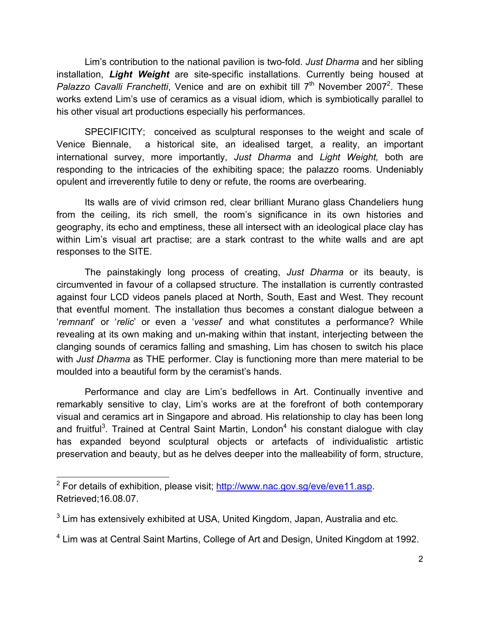Lim's contribution to the national pavilion is two-fold. *Just Dharma* and her sibling installation, *Light Weight* are site-specific installations. Currently being housed at Palazzo Cavalli Franchetti, Venice and are on exhibit till 7<sup>th</sup> November 2007<sup>2</sup>. These works extend Lim's use of ceramics as a visual idiom, which is symbiotically parallel to his other visual art productions especially his performances.

SPECIFICITY; conceived as sculptural responses to the weight and scale of Venice Biennale, a historical site, an idealised target, a reality, an important international survey, more importantly, *Just Dharma* and *Light Weight,* both are responding to the intricacies of the exhibiting space; the palazzo rooms. Undeniably opulent and irreverently futile to deny or refute, the rooms are overbearing.

Its walls are of vivid crimson red, clear brilliant Murano glass Chandeliers hung from the ceiling, its rich smell, the room's significance in its own histories and geography, its echo and emptiness, these all intersect with an ideological place clay has within Lim's visual art practise; are a stark contrast to the white walls and are apt responses to the SITE.

The painstakingly long process of creating, *Just Dharma* or its beauty, is circumvented in favour of a collapsed structure. The installation is currently contrasted against four LCD videos panels placed at North, South, East and West. They recount that eventful moment. The installation thus becomes a constant dialogue between a '*remnant*' or '*relic*' or even a '*vessel*' and what constitutes a performance? While revealing at its own making and un-making within that instant, interjecting between the clanging sounds of ceramics falling and smashing, Lim has chosen to switch his place with *Just Dharma* as THE performer. Clay is functioning more than mere material to be moulded into a beautiful form by the ceramist's hands.

Performance and clay are Lim's bedfellows in Art. Continually inventive and remarkably sensitive to clay, Lim's works are at the forefront of both contemporary visual and ceramics art in Singapore and abroad. His relationship to clay has been long and fruitful<sup>3</sup>. Trained at Central Saint Martin, London<sup>4</sup> his constant dialogue with clay has expanded beyond sculptural objects or artefacts of individualistic artistic preservation and beauty, but as he delves deeper into the malleability of form, structure,

<sup>&</sup>lt;sup>2</sup> For details of exhibition, please visit; http://www.nac.gov.sg/eve/eve11.asp. Retrieved;16.08.07.

<sup>&</sup>lt;sup>3</sup> Lim has extensively exhibited at USA, United Kingdom, Japan, Australia and etc.

<sup>4</sup> Lim was at Central Saint Martins, College of Art and Design, United Kingdom at 1992.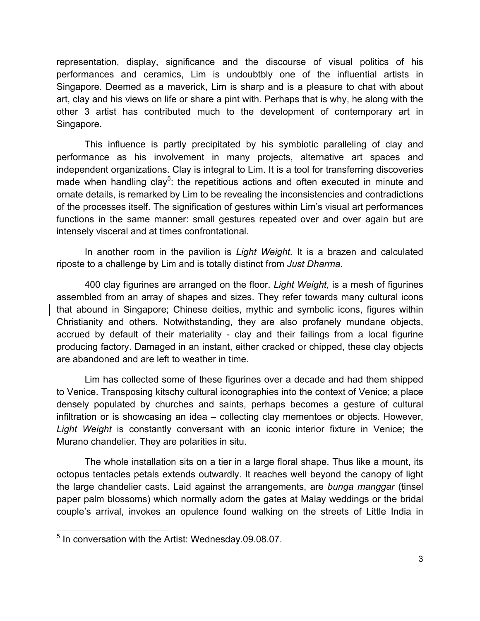representation, display, significance and the discourse of visual politics of his performances and ceramics, Lim is undoubtbly one of the influential artists in Singapore. Deemed as a maverick, Lim is sharp and is a pleasure to chat with about art, clay and his views on life or share a pint with. Perhaps that is why, he along with the other 3 artist has contributed much to the development of contemporary art in Singapore.

This influence is partly precipitated by his symbiotic paralleling of clay and performance as his involvement in many projects, alternative art spaces and independent organizations. Clay is integral to Lim. It is a tool for transferring discoveries made when handling clay<sup>5</sup>: the repetitious actions and often executed in minute and ornate details, is remarked by Lim to be revealing the inconsistencies and contradictions of the processes itself. The signification of gestures within Lim's visual art performances functions in the same manner: small gestures repeated over and over again but are intensely visceral and at times confrontational.

In another room in the pavilion is *Light Weight.* It is a brazen and calculated riposte to a challenge by Lim and is totally distinct from *Just Dharma*.

400 clay figurines are arranged on the floor. *Light Weight,* is a mesh of figurines assembled from an array of shapes and sizes. They refer towards many cultural icons that abound in Singapore; Chinese deities, mythic and symbolic icons, figures within Christianity and others. Notwithstanding, they are also profanely mundane objects, accrued by default of their materiality - clay and their failings from a local figurine producing factory. Damaged in an instant, either cracked or chipped, these clay objects are abandoned and are left to weather in time.

Lim has collected some of these figurines over a decade and had them shipped to Venice. Transposing kitschy cultural iconographies into the context of Venice; a place densely populated by churches and saints, perhaps becomes a gesture of cultural infiltration or is showcasing an idea – collecting clay mementoes or objects. However, *Light Weight* is constantly conversant with an iconic interior fixture in Venice; the Murano chandelier. They are polarities in situ.

The whole installation sits on a tier in a large floral shape. Thus like a mount, its octopus tentacles petals extends outwardly. It reaches well beyond the canopy of light the large chandelier casts. Laid against the arrangements, are *bunga manggar* (tinsel paper palm blossoms) which normally adorn the gates at Malay weddings or the bridal couple's arrival, invokes an opulence found walking on the streets of Little India in

 <sup>5</sup> In conversation with the Artist: Wednesday.09.08.07.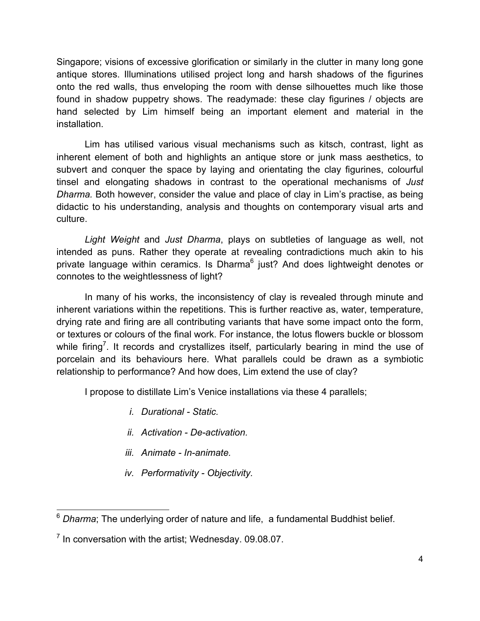Singapore; visions of excessive glorification or similarly in the clutter in many long gone antique stores. Illuminations utilised project long and harsh shadows of the figurines onto the red walls, thus enveloping the room with dense silhouettes much like those found in shadow puppetry shows. The readymade: these clay figurines / objects are hand selected by Lim himself being an important element and material in the installation.

Lim has utilised various visual mechanisms such as kitsch, contrast, light as inherent element of both and highlights an antique store or junk mass aesthetics, to subvert and conquer the space by laying and orientating the clay figurines, colourful tinsel and elongating shadows in contrast to the operational mechanisms of *Just Dharma.* Both however, consider the value and place of clay in Lim's practise, as being didactic to his understanding, analysis and thoughts on contemporary visual arts and culture.

*Light Weight* and *Just Dharma*, plays on subtleties of language as well, not intended as puns. Rather they operate at revealing contradictions much akin to his private language within ceramics. Is Dharma<sup>6</sup> just? And does lightweight denotes or connotes to the weightlessness of light?

In many of his works, the inconsistency of clay is revealed through minute and inherent variations within the repetitions. This is further reactive as, water, temperature, drying rate and firing are all contributing variants that have some impact onto the form, or textures or colours of the final work. For instance, the lotus flowers buckle or blossom while firing<sup>7</sup>. It records and crystallizes itself, particularly bearing in mind the use of porcelain and its behaviours here. What parallels could be drawn as a symbiotic relationship to performance? And how does, Lim extend the use of clay?

I propose to distillate Lim's Venice installations via these 4 parallels;

- *i. Durational Static.*
- *ii. Activation De-activation.*
- *iii. Animate In-animate.*
- *iv. Performativity - Objectivity.*

 <sup>6</sup> *Dharma*; The underlying order of nature and life, a fundamental Buddhist belief.

 $<sup>7</sup>$  In conversation with the artist; Wednesday. 09.08.07.</sup>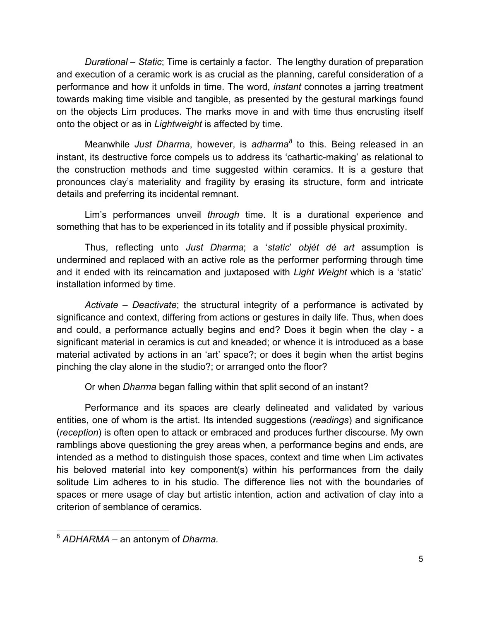*Durational – Static*; Time is certainly a factor. The lengthy duration of preparation and execution of a ceramic work is as crucial as the planning, careful consideration of a performance and how it unfolds in time. The word, *instant* connotes a jarring treatment towards making time visible and tangible, as presented by the gestural markings found on the objects Lim produces. The marks move in and with time thus encrusting itself onto the object or as in *Lightweight* is affected by time.

Meanwhile *Just Dharma*, however, is *adharma<sup>8</sup>* to this. Being released in an instant, its destructive force compels us to address its 'cathartic-making' as relational to the construction methods and time suggested within ceramics. It is a gesture that pronounces clay's materiality and fragility by erasing its structure, form and intricate details and preferring its incidental remnant.

Lim's performances unveil *through* time. It is a durational experience and something that has to be experienced in its totality and if possible physical proximity.

Thus, reflecting unto *Just Dharma*; a '*static*' *objét dé art* assumption is undermined and replaced with an active role as the performer performing through time and it ended with its reincarnation and juxtaposed with *Light Weight* which is a 'static' installation informed by time.

*Activate – Deactivate*; the structural integrity of a performance is activated by significance and context, differing from actions or gestures in daily life. Thus, when does and could, a performance actually begins and end? Does it begin when the clay - a significant material in ceramics is cut and kneaded; or whence it is introduced as a base material activated by actions in an 'art' space?; or does it begin when the artist begins pinching the clay alone in the studio?; or arranged onto the floor?

Or when *Dharma* began falling within that split second of an instant?

Performance and its spaces are clearly delineated and validated by various entities, one of whom is the artist. Its intended suggestions (*readings*) and significance (*reception*) is often open to attack or embraced and produces further discourse. My own ramblings above questioning the grey areas when, a performance begins and ends, are intended as a method to distinguish those spaces, context and time when Lim activates his beloved material into key component(s) within his performances from the daily solitude Lim adheres to in his studio. The difference lies not with the boundaries of spaces or mere usage of clay but artistic intention, action and activation of clay into a criterion of semblance of ceramics.

 <sup>8</sup> *ADHARMA* – an antonym of *Dharma.*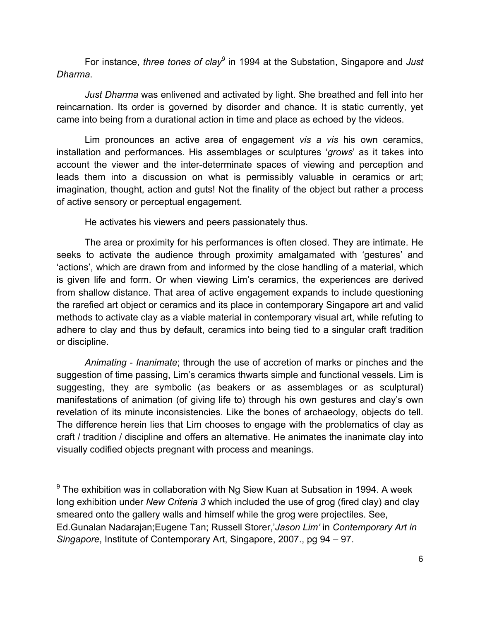For instance, *three tones of clay*<sup>9</sup> in 1994 at the Substation, Singapore and Just *Dharma*.

*Just Dharma* was enlivened and activated by light. She breathed and fell into her reincarnation. Its order is governed by disorder and chance. It is static currently, yet came into being from a durational action in time and place as echoed by the videos.

Lim pronounces an active area of engagement *vis a vis* his own ceramics, installation and performances. His assemblages or sculptures '*grows*' as it takes into account the viewer and the inter-determinate spaces of viewing and perception and leads them into a discussion on what is permissibly valuable in ceramics or art; imagination, thought, action and guts! Not the finality of the object but rather a process of active sensory or perceptual engagement.

He activates his viewers and peers passionately thus.

The area or proximity for his performances is often closed. They are intimate. He seeks to activate the audience through proximity amalgamated with 'gestures' and 'actions', which are drawn from and informed by the close handling of a material, which is given life and form. Or when viewing Lim's ceramics, the experiences are derived from shallow distance. That area of active engagement expands to include questioning the rarefied art object or ceramics and its place in contemporary Singapore art and valid methods to activate clay as a viable material in contemporary visual art, while refuting to adhere to clay and thus by default, ceramics into being tied to a singular craft tradition or discipline.

*Animating* - *Inanimate*; through the use of accretion of marks or pinches and the suggestion of time passing, Lim's ceramics thwarts simple and functional vessels. Lim is suggesting, they are symbolic (as beakers or as assemblages or as sculptural) manifestations of animation (of giving life to) through his own gestures and clay's own revelation of its minute inconsistencies. Like the bones of archaeology, objects do tell. The difference herein lies that Lim chooses to engage with the problematics of clay as craft / tradition / discipline and offers an alternative. He animates the inanimate clay into visually codified objects pregnant with process and meanings.

 $9$  The exhibition was in collaboration with Ng Siew Kuan at Subsation in 1994. A week long exhibition under *New Criteria 3* which included the use of grog (fired clay) and clay smeared onto the gallery walls and himself while the grog were projectiles. See, Ed.Gunalan Nadarajan;Eugene Tan; Russell Storer,'*Jason Lim'* in *Contemporary Art in Singapore*, Institute of Contemporary Art, Singapore, 2007., pg 94 – 97.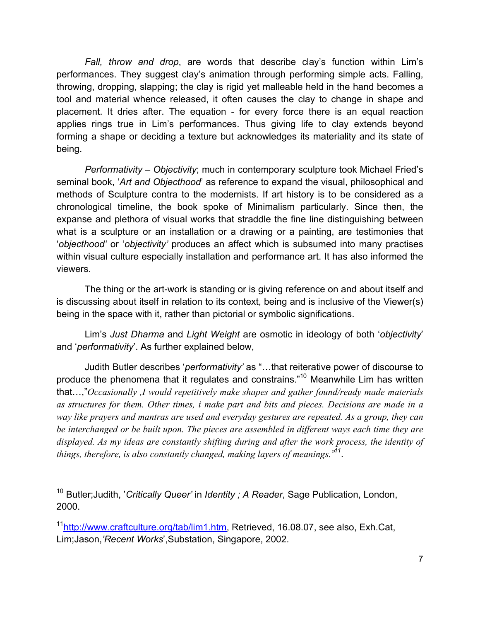*Fall, throw and drop*, are words that describe clay's function within Lim's performances. They suggest clay's animation through performing simple acts. Falling, throwing, dropping, slapping; the clay is rigid yet malleable held in the hand becomes a tool and material whence released, it often causes the clay to change in shape and placement. It dries after. The equation - for every force there is an equal reaction applies rings true in Lim's performances. Thus giving life to clay extends beyond forming a shape or deciding a texture but acknowledges its materiality and its state of being.

*Performativity* – *Objectivity*; much in contemporary sculpture took Michael Fried's seminal book, '*Art and Objecthood*' as reference to expand the visual, philosophical and methods of Sculpture contra to the modernists. If art history is to be considered as a chronological timeline, the book spoke of Minimalism particularly. Since then, the expanse and plethora of visual works that straddle the fine line distinguishing between what is a sculpture or an installation or a drawing or a painting, are testimonies that '*objecthood'* or '*objectivity'* produces an affect which is subsumed into many practises within visual culture especially installation and performance art. It has also informed the viewers.

The thing or the art-work is standing or is giving reference on and about itself and is discussing about itself in relation to its context, being and is inclusive of the Viewer(s) being in the space with it, rather than pictorial or symbolic significations.

Lim's *Just Dharma* and *Light Weight* are osmotic in ideology of both '*objectivity*' and '*performativity*'. As further explained below,

Judith Butler describes '*performativity'* as "…that reiterative power of discourse to produce the phenomena that it regulates and constrains."10 Meanwhile Lim has written that…,"*Occasionally ,I would repetitively make shapes and gather found/ready made materials as structures for them. Other times, i make part and bits and pieces. Decisions are made in a way like prayers and mantras are used and everyday gestures are repeated. As a group, they can be interchanged or be built upon. The pieces are assembled in different ways each time they are displayed. As my ideas are constantly shifting during and after the work process, the identity of things, therefore, is also constantly changed, making layers of meanings." 11.*

 <sup>10</sup> Butler;Judith, '*Critically Queer'* in *Identity ; A Reader*, Sage Publication, London, 2000.

<sup>&</sup>lt;sup>11</sup>http://www.craftculture.org/tab/lim1.htm, Retrieved, 16.08.07, see also, Exh.Cat, Lim;Jason,*'Recent Works*',Substation, Singapore, 2002.